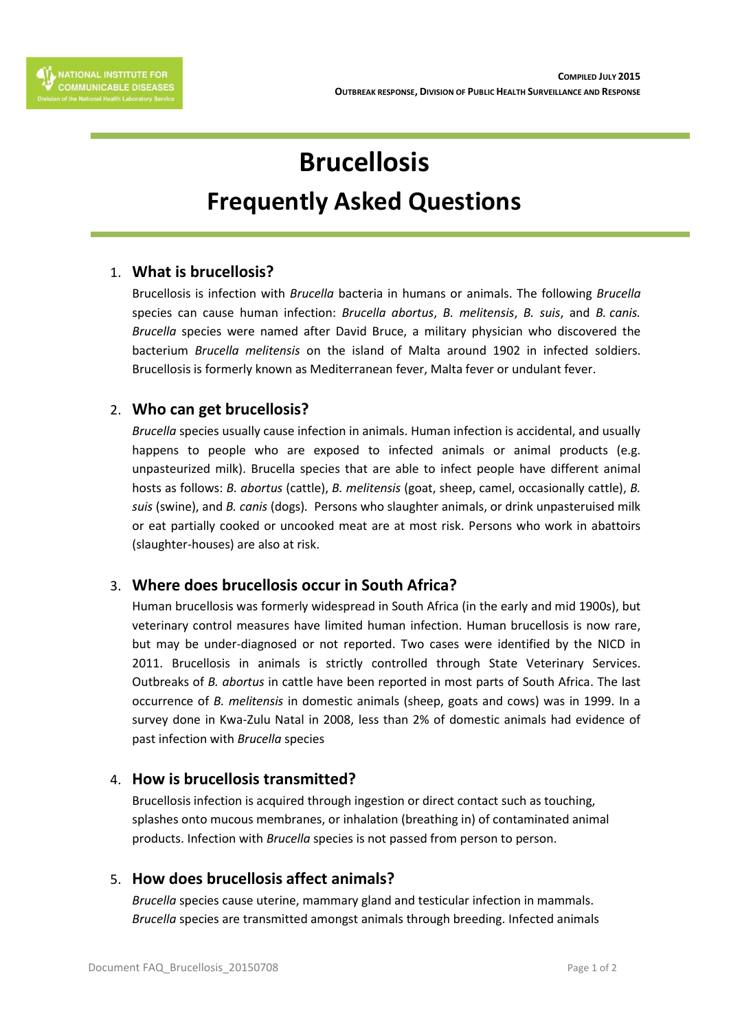# **Brucellosis**

# **Frequently Asked Questions**

# 1. **What is brucellosis?**

Brucellosis is infection with *Brucella* bacteria in humans or animals. The following *Brucella* species can cause human infection: *Brucella abortus*, *B. melitensis*, *B. suis*, and *B. canis. Brucella* species were named after David Bruce, a military physician who discovered the bacterium *Brucella melitensis* on the island of Malta around 1902 in infected soldiers. Brucellosis is formerly known as Mediterranean fever, Malta fever or undulant fever.

#### 2. **Who can get brucellosis?**

*Brucella* species usually cause infection in animals. Human infection is accidental, and usually happens to people who are exposed to infected animals or animal products (e.g. unpasteurized milk). Brucella species that are able to infect people have different animal hosts as follows: *B. abortus* (cattle), *B. melitensis* (goat, sheep, camel, occasionally cattle), *B. suis* (swine), and *B. canis* (dogs)*.* Persons who slaughter animals, or drink unpasteruised milk or eat partially cooked or uncooked meat are at most risk. Persons who work in abattoirs (slaughter-houses) are also at risk.

# 3. **Where does brucellosis occur in South Africa?**

Human brucellosis was formerly widespread in South Africa (in the early and mid 1900s), but veterinary control measures have limited human infection. Human brucellosis is now rare, but may be under-diagnosed or not reported. Two cases were identified by the NICD in 2011. Brucellosis in animals is strictly controlled through State Veterinary Services. Outbreaks of *B. abortus* in cattle have been reported in most parts of South Africa. The last occurrence of *B. melitensis* in domestic animals (sheep, goats and cows) was in 1999. In a survey done in Kwa-Zulu Natal in 2008, less than 2% of domestic animals had evidence of past infection with *Brucella* species

#### 4. **How is brucellosis transmitted?**

Brucellosis infection is acquired through ingestion or direct contact such as touching, splashes onto mucous membranes, or inhalation (breathing in) of contaminated animal products. Infection with *Brucella* species is not passed from person to person.

#### 5. **How does brucellosis affect animals?**

*Brucella* species cause uterine, mammary gland and testicular infection in mammals. *Brucella* species are transmitted amongst animals through breeding. Infected animals